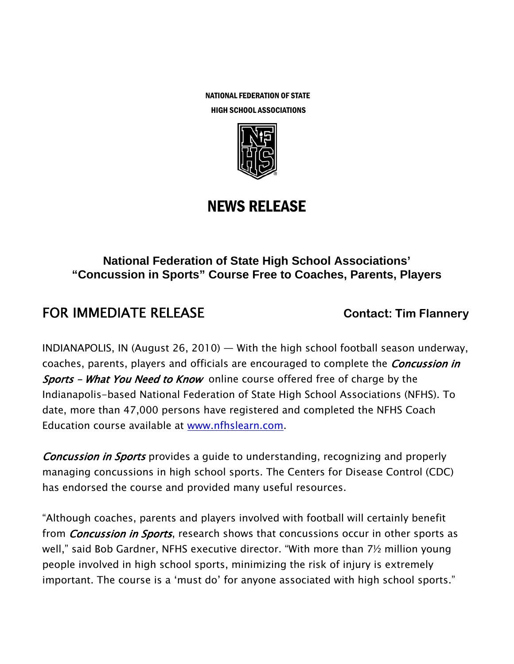NATIONAL FEDERATION OF STATE





# NEWS RELEASE

### **National Federation of State High School Associations' "Concussion in Sports" Course Free to Coaches, Parents, Players**

## **FOR IMMEDIATE RELEASE CONTACT: Tim Flannery**

INDIANAPOLIS, IN (August 26, 2010) — With the high school football season underway, coaches, parents, players and officials are encouraged to complete the *Concussion in* Sports - What You Need to Know online course offered free of charge by the Indianapolis-based National Federation of State High School Associations (NFHS). To date, more than 47,000 persons have registered and completed the NFHS Coach Education course available at www.nfhslearn.com.

**Concussion in Sports** provides a guide to understanding, recognizing and properly managing concussions in high school sports. The Centers for Disease Control (CDC) has endorsed the course and provided many useful resources.

"Although coaches, parents and players involved with football will certainly benefit from *Concussion in Sports*, research shows that concussions occur in other sports as well," said Bob Gardner, NFHS executive director. "With more than 7½ million young people involved in high school sports, minimizing the risk of injury is extremely important. The course is a 'must do' for anyone associated with high school sports."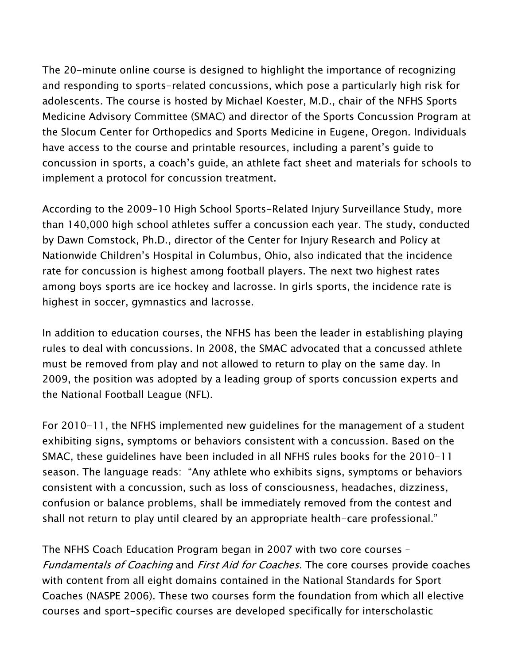The 20-minute online course is designed to highlight the importance of recognizing and responding to sports-related concussions, which pose a particularly high risk for adolescents. The course is hosted by Michael Koester, M.D., chair of the NFHS Sports Medicine Advisory Committee (SMAC) and director of the Sports Concussion Program at the Slocum Center for Orthopedics and Sports Medicine in Eugene, Oregon. Individuals have access to the course and printable resources, including a parent's guide to concussion in sports, a coach's guide, an athlete fact sheet and materials for schools to implement a protocol for concussion treatment.

According to the 2009-10 High School Sports-Related Injury Surveillance Study, more than 140,000 high school athletes suffer a concussion each year. The study, conducted by Dawn Comstock, Ph.D., director of the Center for Injury Research and Policy at Nationwide Children's Hospital in Columbus, Ohio, also indicated that the incidence rate for concussion is highest among football players. The next two highest rates among boys sports are ice hockey and lacrosse. In girls sports, the incidence rate is highest in soccer, gymnastics and lacrosse.

In addition to education courses, the NFHS has been the leader in establishing playing rules to deal with concussions. In 2008, the SMAC advocated that a concussed athlete must be removed from play and not allowed to return to play on the same day. In 2009, the position was adopted by a leading group of sports concussion experts and the National Football League (NFL).

For 2010-11, the NFHS implemented new guidelines for the management of a student exhibiting signs, symptoms or behaviors consistent with a concussion. Based on the SMAC, these guidelines have been included in all NFHS rules books for the 2010-11 season. The language reads: "Any athlete who exhibits signs, symptoms or behaviors consistent with a concussion, such as loss of consciousness, headaches, dizziness, confusion or balance problems, shall be immediately removed from the contest and shall not return to play until cleared by an appropriate health-care professional."

The NFHS Coach Education Program began in 2007 with two core courses – Fundamentals of Coaching and First Aid for Coaches. The core courses provide coaches with content from all eight domains contained in the National Standards for Sport Coaches (NASPE 2006). These two courses form the foundation from which all elective courses and sport-specific courses are developed specifically for interscholastic